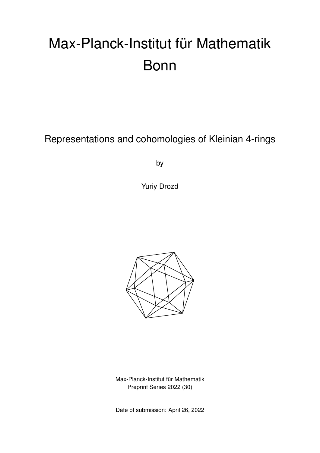# Max-Planck-Institut für Mathematik Bonn

Representations and cohomologies of Kleinian 4-rings

by

Yuriy Drozd



Max-Planck-Institut für Mathematik Preprint Series 2022 (30)

Date of submission: April 26, 2022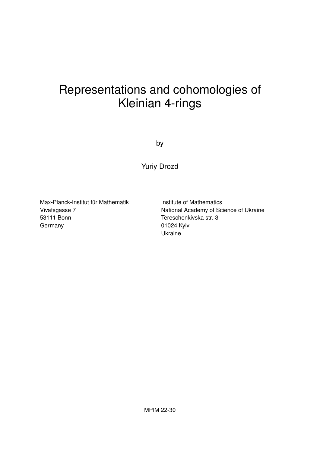# Representations and cohomologies of Kleinian 4-rings

by

Yuriy Drozd

Max-Planck-Institut für Mathematik Vivatsgasse 7 53111 Bonn **Germany** 

Institute of Mathematics National Academy of Science of Ukraine Tereschenkivska str. 3 01024 Kyiv Ukraine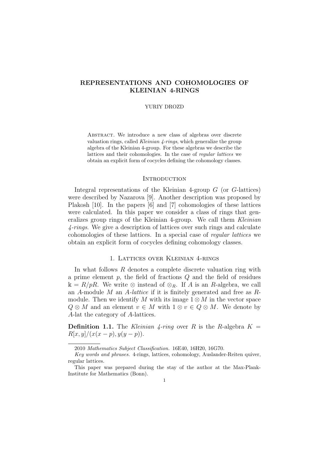# REPRESENTATIONS AND COHOMOLOGIES OF KLEINIAN 4-RINGS

#### YURIY DROZD

ABSTRACT. We introduce a new class of algebras over discrete valuation rings, called Kleinian 4-rings, which generalize the group algebra of the Kleinian 4-group. For these algebras we describe the lattices and their cohomologies. In the case of regular lattices we obtain an explicit form of cocycles defining the cohomology classes.

## **INTRODUCTION**

Integral representations of the Kleinian 4-group G (or G-lattices) were described by Nazarova [9]. Another description was proposed by Plakosh [10]. In the papers [6] and [7] cohomologies of these lattices were calculated. In this paper we consider a class of rings that generalizes group rings of the Kleinian 4-group. We call them Kleinian 4-rings. We give a description of lattices over such rings and calculate cohomologies of these lattices. In a special case of regular lattices we obtain an explicit form of cocycles defining cohomology classes.

# 1. Lattices over Kleinian 4-rings

In what follows  $R$  denotes a complete discrete valuation ring with a prime element  $p$ , the field of fractions  $Q$  and the field of residues  $\mathbb{k} = R/pR$ . We write ⊗ instead of  $\otimes_R$ . If A is an R-algebra, we call an A-module M an A-lattice if it is finitely generated and free as  $R$ module. Then we identify M with its image  $1 \otimes M$  in the vector space  $Q \otimes M$  and an element  $v \in M$  with  $1 \otimes v \in Q \otimes M$ . We denote by A-lat the category of A-lattices.

**Definition 1.1.** The Kleinian 4-ring over R is the R-algebra  $K =$  $R[x, y]/(x(x-p), y(y-p)).$ 

<sup>2010</sup> Mathematics Subject Classification. 16E40, 16H20, 16G70.

Key words and phrases. 4-rings, lattices, cohomology, Auslander-Reiten quiver, regular lattices.

This paper was prepared during the stay of the author at the Max-Plank-Institute for Mathematics (Bonn).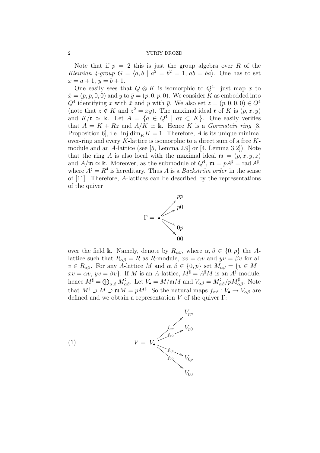Note that if  $p = 2$  this is just the group algebra over R of the Kleinian 4-group  $G = \langle a, b \mid a^2 = b^2 = 1, ab = ba \rangle$ . One has to set  $x = a + 1, y = b + 1.$ 

One easily sees that  $Q \otimes K$  is isomorphic to  $Q^4$ : just map x to  $\bar{x} = (p, p, 0, 0)$  and y to  $\bar{y} = (p, 0, p, 0)$ . We consider K as embedded into  $Q^4$  identifying x with  $\bar{x}$  and y with  $\bar{y}$ . We also set  $z = (p, 0, 0, 0) \in Q^4$ (note that  $z \notin K$  and  $z^2 = xy$ ). The maximal ideal **r** of K is  $(p, x, y)$ and  $K/\mathfrak{r} \simeq \mathbb{k}$ . Let  $A = \{a \in Q^4 \mid a\mathfrak{r} \subset K\}$ . One easily verifies that  $A = K + Rz$  and  $A/K \simeq \mathbb{k}$ . Hence K is a *Gorenstein ring* [3, Proposition 6, i.e. inj.dim<sub>K</sub> $K = 1$ . Therefore, A is its unique minimal over-ring and every K-lattice is isomorphic to a direct sum of a free  $K$ module and an A-lattice (see [5, Lemma 2.9] or [4, Lemma 3.2]). Note that the ring A is also local with the maximal ideal  $\mathfrak{m} = (p, x, y, z)$ and  $A/\mathfrak{m} \simeq \mathbb{k}$ . Moreover, as the submodule of  $Q^4$ ,  $\mathfrak{m} = pA^{\sharp} = \text{rad } A^{\sharp}$ , where  $A^{\sharp} = R^4$  is hereditary. Thus A is a *Backström order* in the sense of [11]. Therefore, A-lattices can be described by the representations of the quiver



over the field k. Namely, denote by  $R_{\alpha\beta}$ , where  $\alpha, \beta \in \{0, p\}$  the Alattice such that  $R_{\alpha\beta} = R$  as R-module,  $xv = \alpha v$  and  $yv = \beta v$  for all  $v \in R_{\alpha\beta}$ . For any A-lattice M and  $\alpha, \beta \in \{0, p\}$  set  $M_{\alpha\beta} = \{v \in M \mid$  $xv = \alpha v, yv = \beta v$ . If M is an A-lattice,  $M^{\sharp} = A^{\sharp}M$  is an  $A^{\sharp}$ -module, hence  $M^{\sharp} = \bigoplus_{\alpha,\beta} M^{\sharp}_{\alpha\beta}$ . Let  $V_{\bullet} = M/\mathfrak{m}M$  and  $V_{\alpha\beta} = M^{\sharp}_{\alpha\beta}/pM^{\sharp}_{\alpha\beta}$ . Note that  $M^{\sharp} \supset M \supset \mathfrak{m}M = pM^{\sharp}$ . So the natural maps  $f_{\alpha\beta}: V_{\bullet} \to V_{\alpha\beta}$  are defined and we obtain a representation  $V$  of the quiver  $\Gamma$ :

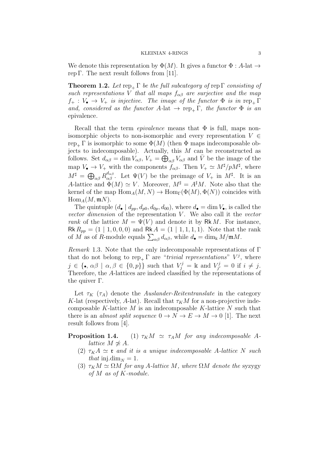We denote this representation by  $\Phi(M)$ . It gives a functor  $\Phi : A$ -lat  $\rightarrow$ rep Γ. The next result follows from [11].

**Theorem 1.2.** Let  $rep_{+} \Gamma$  be the full subcategory of rep  $\Gamma$  consisting of such representations V that all maps  $f_{\alpha\beta}$  are surjective and the map  $f_+ : V_{\bullet} \to V_+$  is injective. The image of the functor  $\Phi$  is in rep<sub>+</sub>  $\Gamma$ and, considered as the functor A-lat  $\rightarrow$  rep<sub>+</sub> Γ, the functor  $\Phi$  is an epivalence.

Recall that the term *epivalence* means that  $\Phi$  is full, maps nonisomorphic objects to non-isomorphic and every representation  $V \in$ rep<sub>+</sub> Γ is isomorphic to some  $\Phi(M)$  (then  $\Phi$  maps indecomposable objects to indecomposable). Actually, this M can be reconstructed as follows. Set  $d_{\alpha\beta} = \dim V_{\alpha\beta}$ ,  $V_+ = \bigoplus_{\alpha\beta} V_{\alpha\beta}$  and  $\overline{V}$  be the image of the map  $V_{\bullet} \to V_{+}$  with the components  $f_{\alpha\beta}$ . Then  $V_{+} \simeq M^{\sharp}/pM^{\sharp}$ , where  $M^{\sharp} = \bigoplus_{\alpha\beta} R_{\alpha\beta}^{d_{\alpha\beta}}$ . Let  $\Psi(V)$  be the preimage of  $V_{+}$  in  $M^{\sharp}$ . It is an A-lattice and  $\Phi(M) \simeq V$ . Moreover,  $M^{\sharp} = A^{\sharp}M$ . Note also that the kernel of the map  $\text{Hom}_A(M, N) \to \text{Hom}_{\Gamma}(\Phi(M), \Phi(N))$  coincides with  $\operatorname{Hom}_A(M,{\mathfrak m} N)$ .

The quintuple  $(d_{\bullet} | d_{pp}, d_{p0}, d_{0p}, d_{00})$ , where  $d_{\bullet} = \dim V_{\bullet}$ , is called the vector dimension of the representation  $V$ . We also call it the vector rank of the lattice  $M = \Psi(V)$  and denote it by Rk M. For instance, Rk  $R_{pp} = (1 \mid 1, 0, 0, 0)$  and Rk  $A = (1 \mid 1, 1, 1, 1)$ . Note that the rank of M as of R-module equals  $\sum_{\alpha\beta} d_{\alpha\beta}$ , while  $d_{\bullet} = \dim_{\mathbb{k}} M/\mathfrak{m}M$ .

Remark 1.3. Note that the only indecomposable representations of Γ that do not belong to  $rep_+ \Gamma$  are "*trivial representations*"  $V^j$ , where  $j \in \{\bullet, \alpha\beta \mid \alpha, \beta \in \{0, p\}\}\$  such that  $V_j^j = \mathbb{k}$  and  $V_{j'}^j$  $j'_{j'}=0$  if  $i\neq j$ . Therefore, the A-lattices are indeed classified by the representations of the quiver Γ.

Let  $\tau_K$  ( $\tau_A$ ) denote the *Auslander-Reitentranslate* in the category K-lat (respectively, A-lat). Recall that  $\tau_K M$  for a non-projective indecomposable K-lattice  $M$  is an indecomposable K-lattice  $N$  such that there is an *almost split sequence*  $0 \to N \to E \to M \to 0$  [1]. The next result follows from [4].

**Proposition 1.4.** (1)  $\tau_K M \simeq \tau_A M$  for any indecomposable Alattice  $M \not\simeq A$ .

- (2)  $\tau_K A \simeq \tau$  and it is a unique indecomposable A-lattice N such that inj.dim<sub>N</sub> = 1.
- (3)  $\tau_K M \simeq \Omega M$  for any A-lattice M, where  $\Omega M$  denote the syzygy of M as of K-module.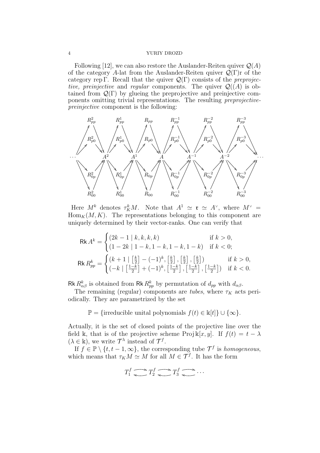Following [12], we can also restore the Auslander-Reiten quiver  $\mathcal{Q}(A)$ of the category A-lat from the Auslander-Reiten quiver  $\mathcal{Q}(\Gamma)$  of the category rep Γ. Recall that the quiver  $\mathcal{Q}(\Gamma)$  consists of the *preprojec*tive, preinjective and regular components. The quiver  $\mathcal{Q}((A))$  is obtained from  $\mathcal{Q}(\Gamma)$  by glueing the preprojective and preinjective components omitting trivial representations. The resulting preprojectivepreinjective component is the following:



Here  $M^k$  denotes  $\tau_K^k M$ . Note that  $A^1 \simeq \mathfrak{r} \simeq A^{\vee}$ , where  $M^{\vee} =$  $\operatorname{Hom}_K(M, K)$ . The representations belonging to this component are uniquely determined by their vector-ranks. One can verify that

$$
\mathsf{Rk}\,A^{k} = \begin{cases} (2k-1 \mid k, k, k, k) & \text{if } k > 0, \\ (1-2k \mid 1-k, 1-k, 1-k, 1-k) & \text{if } k < 0; \end{cases}
$$
\n
$$
\mathsf{Rk}\,R_{pp}^{k} = \begin{cases} (k+1 \mid \left[\frac{k}{2}\right] - (-1)^{k}, \left[\frac{k}{2}\right], \left[\frac{k}{2}\right], \left[\frac{k}{2}\right] \\ (-k \mid \left[\frac{1-k}{2}\right] + (-1)^{k}, \left[\frac{1-k}{2}\right], \left[\frac{1-k}{2}\right], \left[\frac{1-k}{2}\right]) & \text{if } k < 0. \end{cases}
$$

Rk  $R_{\alpha\beta}^k$  is obtained from Rk  $R_{pp}^k$  by permutation of  $d_{pp}$  with  $d_{\alpha\beta}$ .

The remaining (regular) components are *tubes*, where  $\tau_K$  acts periodically. They are parametrized by the set

 $\mathbb{P} = \{\text{irreducible unital polynomials } f(t) \in \mathbb{k}[t] \} \cup \{\infty\}.$ 

Actually, it is the set of closed points of the projective line over the field k, that is of the projective scheme Proj k[x, y]. If  $f(t) = t - \lambda$  $(\lambda \in \mathbb{k})$ , we write  $\mathcal{T}^{\lambda}$  instead of  $\mathcal{T}^{f}$ .

If  $f \in \mathbb{P} \setminus \{t, t-1, \infty\}$ , the corresponding tube  $\mathcal{T}^f$  is homogeneous, which means that  $\tau_K M \simeq M$  for all  $M \in \mathcal{T}^f$ . It has the form

$$
T_1^f \underbrace{\longrightarrow} T_2^f \underbrace{\longrightarrow} T_3^f \underbrace{\longrightarrow} \cdots
$$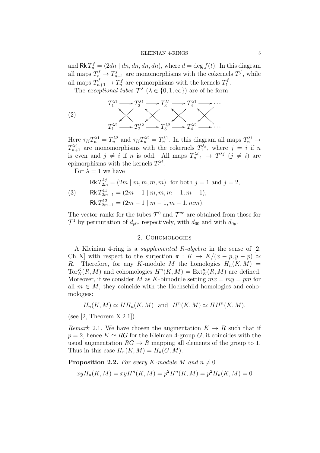and  $\mathsf{Rk} T_n^f = (2dn | dn, dn, dn, dn)$ , where  $d = \deg f(t)$ . In this diagram all maps  $T_n^f \to T_{n+1}^f$  are monomorphisms with the cokernels  $T_1^f$  $j<sub>1</sub>$ , while all maps  $T_{n+1}^f \to T_n^f$  are epimorphisms with the kernels  $T_1^f$  $\frac{J}{1}$  .

The *exceptional tubes*  $\mathcal{T}^{\lambda}$  ( $\lambda \in \{0, 1, \infty\}$ ) are of he form

(2)  

$$
T_1^{\lambda 1} \longrightarrow T_2^{\lambda 1} \longrightarrow T_3^{\lambda 1} \longrightarrow T_4^{\lambda 1} \longrightarrow \cdots
$$
  

$$
T_1^{\lambda 2} \longrightarrow T_2^{\lambda 2} \longrightarrow T_3^{\lambda 2} \longrightarrow T_4^{\lambda 2} \longrightarrow \cdots
$$

Here  $\tau_K T_n^{\lambda 1} = T_n^{\lambda 2}$  and  $\tau_K T_n^{\lambda 2} = T_n^{\lambda 1}$ . In this diagram all maps  $T_n^{\lambda i} \to$  $T_{n+1}^{\lambda i}$  are monomorphisms with the cokernels  $T_1^{\lambda j}$  $j_1^{\lambda j}$ , where  $j = i$  if n is even and  $j \neq i$  if n is odd. All maps  $T^{\lambda i}_{n+1} \to T^{\lambda j}$   $(j \neq i)$  are epimorphisms with the kernels  $T_1^{\lambda i}$ .

For  $\lambda = 1$  we have

$$
Rk T_{2m}^{1j} = (2m | m, m, m, m) \text{ for both } j = 1 \text{ and } j = 2,
$$
  
(3) 
$$
Rk T_{2m-1}^{11} = (2m - 1 | m, m, m - 1, m - 1),
$$

$$
Rk T_{2m-1}^{12} = (2m - 1 | m - 1, m - 1, mm).
$$

The vector-ranks for the tubes  $\mathcal{T}^0$  and  $\mathcal{T}^{\infty}$  are obtained from those for  $\mathcal{T}^1$  by permutation of  $d_{p0}$ , respectively, with  $d_{00}$  and with  $d_{0p}$ .

# 2. Cohomologies

A Kleinian 4-ring is a supplemented R-algebra in the sense of [2, Ch. X] with respect to the surjection  $\pi : K \to K/(x - p, y - p) \simeq$ R. Therefore, for any K-module M the homologies  $H_n(K, M)$  =  $Tor_N^K(R,M)$  and cohomologies  $H^n(K,M) = Ext_K^n(R,M)$  are defined. Moreover, if we consider M as K-bimodule setting  $mx = my = pm$  for all  $m \in M$ , they coincide with the Hochschild homologies and cohomologies:

$$
H_n(K,M) \simeq HH_n(K,M)
$$
 and  $H^n(K,M) \simeq HH^n(K,M)$ .

(see  $[2,$  Theorem X.2.1]).

Remark 2.1. We have chosen the augmentation  $K \to R$  such that if  $p = 2$ , hence  $K \simeq RG$  for the Kleinian 4-group G, it coincides with the usual augmentation  $RG \to R$  mapping all elements of the group to 1. Thus in this case  $H_n(K,M) = H_n(G,M)$ .

**Proposition 2.2.** For every K-module M and  $n \neq 0$ 

$$
xyH_n(K,M) = xyH^n(K,M) = p^2H^n(K,M) = p^2H_n(K,M) = 0
$$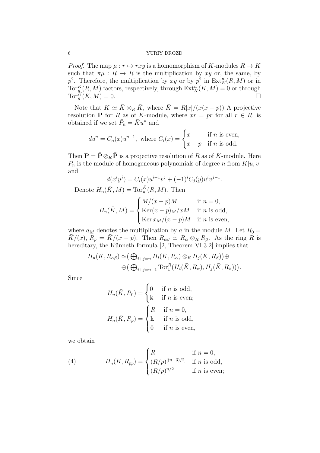*Proof.* The map  $\mu : r \mapsto rxy$  is a homomorphism of K-modules  $R \to K$ such that  $\pi\mu : R \to R$  is the multiplication by xy or, the same, by  $p^2$ . Therefore, the multiplication by xy or by  $p^2$  in  $\text{Ext}^n_K(R, M)$  or in  $\operatorname{Tor}^K_n(R,M)$  factors, respectively, through  $\operatorname{Ext}^n_K(K,M) = 0$  or through  $\operatorname{Tor}_n^K(K,M)=0.$ 

Note that  $K \simeq \bar{K} \otimes_R \bar{K}$ , where  $\bar{K} = R[x]/(x(x - p))$  A projective resolution  $\bar{\mathbf{P}}$  for R as of  $\bar{K}$ -module, where  $xr = pr$  for all  $r \in R$ , is obtained if we set  $\bar{P}_n = \bar{K}u^n$  and

$$
du^n = C_n(x)u^{n-1}
$$
, where  $C_i(x) = \begin{cases} x & \text{if } n \text{ is even,} \\ x - p & \text{if } n \text{ is odd.} \end{cases}$ 

Then  $\mathbf{P} = \bar{\mathbf{P}} \otimes_R \bar{\mathbf{P}}$  is a projective resolution of R as of K-module. Here  $P_n$  is the module of homogeneous polynomials of degree n from  $K[u, v]$ and

$$
d(x^{i}y^{j}) = C_{i}(x)u^{i-1}v^{j} + (-1)^{i}C_{j}(y)u^{i}v^{j-1}.
$$

Denote  $H_n(\bar{K}, M) = \text{Tor}_n^{\bar{K}}(R, M)$ . Then

$$
H_n(\bar{K}, M) = \begin{cases} M/(x - p)M & \text{if } n = 0, \\ \text{Ker}(x - p)_M/xM & \text{if } n \text{ is odd,} \\ \text{Ker } x_M/(x - p)M & \text{if } n \text{ is even,} \end{cases}
$$

where  $a_M$  denotes the multiplication by a in the module M. Let  $R_0 =$  $\bar{K}/(x)$ ,  $R_p = \bar{K}/(x - p)$ . Then  $R_{\alpha\beta} \simeq R_\alpha \otimes_R R_\beta$ . As the ring R is hereditary, the Künneth formula [2, Theorem VI.3.2] implies that

$$
H_n(K, R_{\alpha\beta}) \simeq (\bigoplus_{i+j=n} H_i(\bar{K}, R_{\alpha}) \otimes_R H_j(\bar{K}, R_{\beta}))\oplus
$$
  

$$
\oplus (\bigoplus_{i+j=n-1} \text{Tor}_1^R(H_i(\bar{K}, R_{\alpha}), H_j(\bar{K}, R_{\beta}))).
$$

Since

$$
H_n(\bar{K}, R_0) = \begin{cases} 0 & \text{if } n \text{ is odd,} \\ \mathbb{k} & \text{if } n \text{ is even;} \end{cases}
$$

$$
H_n(\bar{K}, R_p) = \begin{cases} R & \text{if } n = 0, \\ \mathbb{k} & \text{if } n \text{ is odd,} \\ 0 & \text{if } n \text{ is even,} \end{cases}
$$

we obtain

(4) 
$$
H_n(K, R_{pp}) = \begin{cases} R & \text{if } n = 0, \\ (R/p)^{[(n+3)/2]} & \text{if } n \text{ is odd,} \\ (R/p)^{n/2} & \text{if } n \text{ is even;} \end{cases}
$$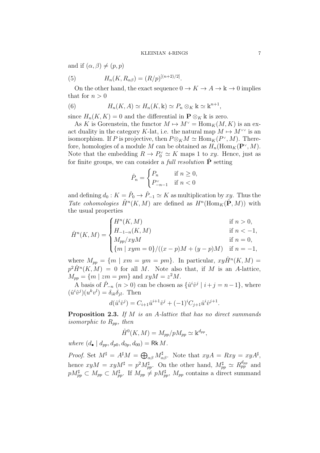and if  $(\alpha, \beta) \neq (p, p)$ 

(5) 
$$
H_n(K, R_{\alpha\beta}) = (R/p)^{[(n+2)/2]}.
$$

On the other hand, the exact sequence  $0 \to K \to A \to \mathbb{k} \to 0$  implies that for  $n > 0$ 

(6) 
$$
H_n(K, A) \simeq H_n(K, \mathbb{k}) \simeq P_n \otimes_K \mathbb{k} \simeq \mathbb{k}^{n+1},
$$

since  $H_n(K, K) = 0$  and the differential in  $\mathbf{P} \otimes_K \mathbb{k}$  is zero.

As K is Gorenstein, the functor  $M \mapsto M^{\vee} = \text{Hom}_K(M, K)$  is an exact duality in the category K-lat, i.e. the natural map  $M \mapsto M^{\vee \vee}$  is an isomorphism. If P is projective, then  $P \otimes_K M \simeq \text{Hom}_K(P^{\vee}, M)$ . Therefore, homologies of a module M can be obtained as  $H_n(\text{Hom}_K(\mathbf{P}^{\vee}, M)).$ Note that the embedding  $R \to P_0^{\vee} \simeq K$  maps 1 to xy. Hence, just as for finite groups, we can consider a *full resolution*  $\hat{\mathbf{P}}$  setting

$$
\hat{P}_n = \begin{cases} P_n & \text{if } n \ge 0, \\ P_{-n-1}^\vee & \text{if } n < 0 \end{cases}
$$

and defining  $d_0: K = \hat{P}_0 \to \hat{P}_{-1} \simeq K$  as multiplication by  $xy$ . Thus the Tate cohomologies  $\hat{H}^n(K,M)$  are defined as  $H^n(\text{Hom}_K(\hat{\mathbf{P}},M))$  with the usual properties

$$
\hat{H}^n(K,M) = \begin{cases}\nH^n(K,M) & \text{if } n > 0, \\
H_{-1-n}(K,M) & \text{if } n < -1, \\
M_{pp}/xyM & \text{if } n = 0, \\
\{m \mid xym = 0\}/((x-p)M + (y-p)M) & \text{if } n = -1,\n\end{cases}
$$

where  $M_{pp} = \{m \mid xm = ym = pm\}$ . In particular,  $xy\hat{H}^{n}(K, M) =$  $p^2 \hat{H}^n(K,M) = 0$  for all M. Note also that, if M is an A-lattice,  $M_{pp} = \{m \mid zm = pm\}$  and  $xyM = z^2M$ .

A basis of  $\hat{P}_{-n}$   $(n > 0)$  can be chosen as  $\{\hat{u}^i \hat{v}^j \mid i+j = n-1\}$ , where  $(\hat{u}^i \hat{v}^j)(u^k v^l) = \delta_{ik} \delta_{jl}$ . Then

$$
d(\hat{u}^i \hat{v}^j) = C_{i+1} \hat{u}^{i+1} \hat{v}^j + (-1)^i C_{j+1} \hat{u}^i \hat{v}^{j+1}.
$$

**Proposition 2.3.** If  $M$  is an A-lattice that has no direct summands isomorphic to  $R_{pp}$ , then

$$
\hat{H}^0(K,M) = M_{pp}/pM_{pp} \simeq \mathbb{k}^{d_{pp}},
$$

where  $(d_{\bullet} | d_{pp}, d_{p0}, d_{0p}, d_{00}) = \text{Rk } M$ .

Proof. Set  $M^{\sharp} = A^{\sharp}M = \bigoplus_{\alpha\beta} M_{\alpha\beta}^{\sharp}$ . Note that  $xyA = Rxy = xyA^{\sharp}$ , hence  $xyM = xyM^{\sharp} = p^2 M_{pp}^{\sharp}$ . On the other hand,  $M_{pp}^{\sharp} \simeq R_{pp}^{d_{pp}}$  and  $pM_{pp}^{\sharp} \subset M_{pp} \subset M_{pp}^{\sharp}$ . If  $M_{pp} \neq pM_{pp}^{\sharp}$ ,  $M_{pp}$  contains a direct summand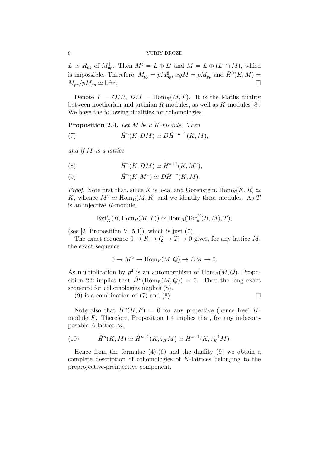$L \simeq R_{pp}$  of  $M_{pp}^{\sharp}$ . Then  $M^{\sharp} = L \oplus L'$  and  $M = L \oplus (L' \cap M)$ , which is impossible. Therefore,  $M_{pp} = p M_{pp}^{\sharp}$ ,  $xyM = p M_{pp}$  and  $\hat{H}^0(K, M) =$  $M_{pp}/pM_{pp} \simeq \mathbb{R}^{d_{pp}}$ . В последните при последните при последните при последните при последните при последните при последните при<br>В последните при последните при последните при последните при последните при последните при последните при пос

Denote  $T = Q/R$ ,  $DM = \text{Hom}_R(M, T)$ . It is the Matlis duality between noetherian and artinian R-modules, as well as K-modules [8]. We have the following dualities for cohomologies.

Proposition 2.4. Let M be a K-module. Then

(7) 
$$
\hat{H}^n(K, DM) \simeq D\hat{H}^{-n-1}(K, M),
$$

and if M is a lattice

(8) 
$$
\hat{H}^n(K, DM) \simeq \hat{H}^{n+1}(K, M^{\vee}),
$$

(9)  $\hat{H}^n(K, M^{\vee}) \simeq D\hat{H}^{-n}(K, M).$ 

*Proof.* Note first that, since K is local and Gorenstein,  $\text{Hom}_R(K, R) \simeq$ K, whence  $M^{\vee} \simeq \text{Hom}_{R}(M, R)$  and we identify these modules. As T is an injective R-module,

$$
\text{Ext}^n_K(R, \text{Hom}_R(M, T)) \simeq \text{Hom}_R(\text{Tor}_n^K(R, M), T),
$$

(see  $[2,$  Proposition VI.5.1]), which is just  $(7)$ .

The exact sequence  $0 \to R \to Q \to T \to 0$  gives, for any lattice M, the exact sequence

$$
0 \to M^{\vee} \to \text{Hom}_R(M, Q) \to DM \to 0.
$$

As multiplication by  $p^2$  is an automorphism of  $\text{Hom}_R(M, Q)$ , Proposition 2.2 implies that  $\hat{H}^n(\text{Hom}_R(M, Q)) = 0$ . Then the long exact sequence for cohomologies implies (8).

(9) is a combination of (7) and (8).

Note also that  $\hat{H}^n(K, F) = 0$  for any projective (hence free) Kmodule F. Therefore, Proposition 1.4 implies that, for any indecomposable A-lattice M,

(10) 
$$
\hat{H}^n(K,M) \simeq \hat{H}^{n+1}(K,\tau_K M) \simeq \hat{H}^{n-1}(K,\tau_K^{-1}M).
$$

Hence from the formulae  $(4)-(6)$  and the duality  $(9)$  we obtain a complete description of cohomologies of K-lattices belonging to the preprojective-preinjective component.

$$
\ \, 8
$$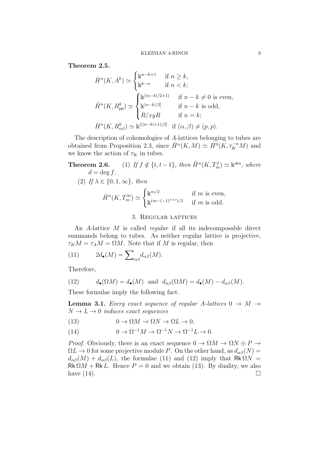Theorem 2.5.

$$
\hat{H}^n(K, A^k) \simeq \begin{cases}\n\mathbb{k}^{n-k+1} & \text{if } n \ge k, \\
\mathbb{k}^{k-n} & \text{if } n < k;\n\end{cases}
$$
\n
$$
\hat{H}^n(K, R_{pp}^k) \simeq \begin{cases}\n\mathbb{k}^{(|n-k|/2+1)} & \text{if } n-k \neq 0 \text{ is even,} \\
\mathbb{k}^{|n-k|/2|} & \text{if } n-k \text{ is odd,} \\
R/xyR & \text{if } n = k;\n\end{cases}
$$
\n
$$
\hat{H}^n(K, R_{\alpha\beta}^k) \simeq \mathbb{k}^{[(|n-k|+1)/2]} \text{ if } (\alpha, \beta) \neq (p, p).
$$

The description of cohomologies of A-lattices belonging to tubes are obtained from Proposition 2.3, since  $\hat{H}^n(K,M) \simeq \hat{H}^0(K,\tau_K^{-n}M)$  and we know the action of  $\tau_K$  in tubes.

**Theorem 2.6.** (1) If 
$$
f \notin \{t, t-1\}
$$
, then  $\hat{H}^n(K, T_m^f) \simeq \mathbb{k}^{dm}$ , where  
\n $d = \deg f$ .  
\n(2) If  $\lambda \in \{0, 1, \infty\}$ , then  
\n
$$
\hat{H}^n(K, T_m^{\lambda i}) \simeq \begin{cases} \mathbb{k}^{m/2} & \text{if } m \text{ is even,} \\ \mathbb{k}^{(m-(-1)^{n+i})/2} & \text{if } m \text{ is odd.} \end{cases}
$$

# 3. Regular lattices

An A-lattice M is called regular if all its indecomposable direct summands belong to tubes. As neither regular lattice is projective,  $\tau_K M = \tau_A M = \Omega M$ . Note that if M is regular, then

(11) 
$$
2d_{\bullet}(M) = \sum_{\alpha\beta} d_{\alpha\beta}(M).
$$

Therefore,

(12) 
$$
d_{\bullet}(\Omega M) = d_{\bullet}(M) \text{ and } d_{\alpha\beta}(\Omega M) = d_{\bullet}(M) - d_{\alpha\beta}(M).
$$

These formulae imply the following fact.

**Lemma 3.1.** Every exact sequence of regular A-lattices  $0 \rightarrow M \rightarrow$  $N \rightarrow L \rightarrow 0$  induces exact sequences

(13) 
$$
0 \to \Omega M \to \Omega N \to \Omega L \to 0,
$$

(14) 
$$
0 \to \Omega^{-1}M \to \Omega^{-1}N \to \Omega^{-1}L \to 0.
$$

*Proof.* Obviously, there is an exact sequence  $0 \to \Omega M \to \Omega N \oplus P \to$  $\Omega L \to 0$  for some projective module P. On the other hand, as  $d_{\alpha\beta}(N) =$  $d_{\alpha\beta}(M) + d_{\alpha\beta}(L)$ , the formulae (11) and (12) imply that Rk  $\Omega N =$  $Rk \Omega M + Rk L$ . Hence  $P = 0$  and we obtain (13). By duality, we also have  $(14)$ .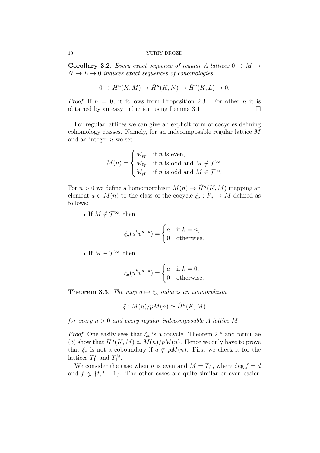**Corollary 3.2.** Every exact sequence of regular A-lattices  $0 \rightarrow M \rightarrow$  $N \rightarrow L \rightarrow 0$  induces exact sequences of cohomologies

$$
0 \to \hat{H}^n(K, M) \to \hat{H}^n(K, N) \to \hat{H}^n(K, L) \to 0.
$$

*Proof.* If  $n = 0$ , it follows from Proposition 2.3. For other *n* it is obtained by an easy induction using Lemma 3.1.  $\Box$ 

For regular lattices we can give an explicit form of cocycles defining cohomology classes. Namely, for an indecomposable regular lattice M and an integer  $n$  we set

$$
M(n) = \begin{cases} M_{pp} & \text{if } n \text{ is even,} \\ M_{0p} & \text{if } n \text{ is odd and } M \notin \mathcal{T}^{\infty}, \\ M_{p0} & \text{if } n \text{ is odd and } M \in \mathcal{T}^{\infty}. \end{cases}
$$

For  $n > 0$  we define a homomorphism  $M(n) \to \hat{H}^n(K, M)$  mapping an element  $a \in M(n)$  to the class of the cocycle  $\xi_a : P_n \to M$  defined as follows:

• If  $M \notin \mathcal{T}^{\infty}$ , then

$$
\xi_a(u^k v^{n-k}) = \begin{cases} a & \text{if } k = n, \\ 0 & \text{otherwise.} \end{cases}
$$

• If  $M \in \mathcal{T}^{\infty}$ , then

$$
\xi_a(u^k v^{n-k}) = \begin{cases} a & \text{if } k = 0, \\ 0 & \text{otherwise.} \end{cases}
$$

**Theorem 3.3.** The map  $a \mapsto \xi_a$  induces an isomorphism

$$
\xi: M(n)/pM(n) \simeq \hat{H}^n(K, M)
$$

for every  $n > 0$  and every regular indecomposable A-lattice M.

*Proof.* One easily sees that  $\xi_a$  is a cocycle. Theorem 2.6 and formulae (3) show that  $\hat{H}^n(K,M) \simeq M(n)/pM(n)$ . Hence we only have to prove that  $\xi_a$  is not a coboundary if  $a \notin pM(n)$ . First we check it for the lattices  $T_1^f$  $T_1^f$  and  $T_1^{\lambda i}$ .

We consider the case when *n* is even and  $M = T_1^f$  $C_1^J$ , where  $\deg f = d$ and  $f \notin \{t, t - 1\}$ . The other cases are quite similar or even easier.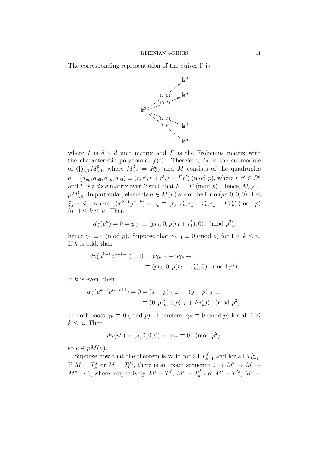The corresponding representation of the quiver  $\Gamma$  is



where I is  $d \times d$  unit matrix and F is the Frobenius matrix with the characteristic polynomial  $f(t)$ . Therefore, M is the submodule of  $\bigoplus_{\alpha\beta} M_{\alpha\beta}^{\sharp}$ , where  $M_{\alpha\beta}^{\sharp} = R_{\alpha\beta}^{d}$  and M consists of the quadruples  $a = (a_{pp}, a_{p0}, a_{0p}, a_{00}) \equiv (r, r', r + r', r + \tilde{F}r') \pmod{p}$ , where  $r, r' \in R^d$ and  $\tilde{F}$  is a  $d \times d$  matrix over R such that  $F = \tilde{F} \pmod{p}$ . Hence,  $M_{\alpha\beta} =$  $pM_{\alpha\beta}^{\sharp}$ . In particular, elements  $a \in M(n)$  are of the form  $(pr, 0, 0, 0)$ . Let  $\xi_a = d\gamma$ , where  $\gamma(x^{k-1}y^{n-k}) = \gamma_k \equiv (r_k, r'_k, r_k + r'_k, r_k + \tilde{F}r'_k) \pmod{p}$ for  $1 \leq k \leq n$ . Then

$$
d\gamma(v^n) = 0 = y\gamma_1 \equiv (pr_1, 0, p(r_1 + r_1'), 0) \pmod{p^2},
$$

hence  $\gamma_1 \equiv 0 \pmod{p}$ . Suppose that  $\gamma_{k-1} \equiv 0 \pmod{p}$  for  $1 < k \leq n$ . If  $k$  is odd, then

$$
d\gamma(u^{k-1}v^{n-k+1}) = 0 = x\gamma_{k-1} + y\gamma_k \equiv
$$
  
 
$$
\equiv (pr_k, 0, p(r_k + r'_k), 0) \pmod{p^2},
$$

If  $k$  is even, then

$$
d\gamma(u^{k-1}v^{n-k+1}) = 0 = (x - p)\gamma_{k-1} - (y - p)\gamma_k \equiv
$$
  
 
$$
\equiv (0, pr'_k, 0, p(r_k + \tilde{F}r'_k)) \pmod{p^2}.
$$

In both cases  $\gamma_k \equiv 0 \pmod{p}$ . Therefore,  $\gamma_k \equiv 0 \pmod{p}$  for all  $1 \leq$  $k \leq n$ . Then

$$
d\gamma(u^n) = (a, 0, 0, 0) = x\gamma_n \equiv 0 \pmod{p^2},
$$

so  $a \in pM(n)$ .

Suppose now that the theorem is valid for all  $T_k^f$  $T_{k-1}^f$  and for all  $T_{k-1}^{\lambda i}$ . If  $M=T_k^f$  $\chi_k^{f}$  or  $M = T_k^{\lambda i}$ , there is an exact sequence  $0 \to M' \to M \to$  $M'' \to 0$ , where, respectively,  $M' = T_1'$  $T_1^f, M'' = T_k^f$  $S_{k-1}^f$  or  $M'=T^{\lambda i}$ ,  $M''=$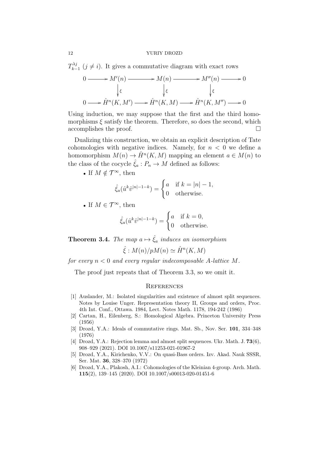$T_{k-}^{\lambda j}$  $\sum_{k=1}^{N}$  ( $j \neq i$ ). It gives a commutative diagram with exact rows

$$
0 \longrightarrow M'(n) \longrightarrow M(n) \longrightarrow M''(n) \longrightarrow 0
$$
  

$$
\downarrow \varepsilon \qquad \qquad \downarrow \varepsilon \qquad \qquad \downarrow \varepsilon
$$
  

$$
0 \longrightarrow \hat{H}^{n}(K, M') \longrightarrow \hat{H}^{n}(K, M) \longrightarrow \hat{H}^{n}(K, M'') \longrightarrow 0
$$

Using induction, we may suppose that the first and the third homomorphisms  $\xi$  satisfy the theorem. Therefore, so does the second, which accomplishes the proof.

Dualizing this construction, we obtain an explicit description of Tate cohomologies with negative indices. Namely, for  $n < 0$  we define a homomorphism  $M(n) \to \hat{H}^n(K,M)$  mapping an element  $a \in M(n)$  to the class of the cocycle  $\hat{\xi}_a: P_n \to M$  defined as follows:

• If  $M \notin \mathcal{T}^{\infty}$ , then

$$
\hat{\xi}_a(\hat{u}^k \hat{v}^{|n|-1-k}) = \begin{cases} a & \text{if } k = |n| - 1, \\ 0 & \text{otherwise.} \end{cases}
$$

• If  $M \in \mathcal{T}^{\infty}$ , then

$$
\hat{\xi}_a(\hat{u}^k \hat{v}^{|n|-1-k}) = \begin{cases} a & \text{if } k = 0, \\ 0 & \text{otherwise.} \end{cases}
$$

**Theorem 3.4.** The map  $a \mapsto \hat{\xi}_a$  induces an isomorphism

$$
\hat{\xi}: M(n)/pM(n) \simeq \hat{H}^n(K, M)
$$

for every  $n < 0$  and every regular indecomposable A-lattice M.

The proof just repeats that of Theorem 3.3, so we omit it.

# **REFERENCES**

- [1] Auslander, M.: Isolated singularities and existence of almost split sequences. Notes by Louise Unger. Representation theory II, Groups and orders, Proc. 4th Int. Conf., Ottawa. 1984, Lect. Notes Math. 1178, 194-242 (1986)
- [2] Cartan, H., Eilenberg, S.: Homological Algebra. Princeton University Press (1956)
- [3] Drozd, Y.A.: Ideals of commutative rings. Mat. Sb., Nov. Ser. 101, 334–348 (1976)
- [4] Drozd, Y.A.: Rejection lemma and almost split sequences. Ukr. Math. J. 73(6), 908–929 (2021). DOI 10.1007/s11253-021-01967-2
- [5] Drozd, Y.A., Kirichenko, V.V.: On quasi-Bass orders. Izv. Akad. Nauk SSSR, Ser. Mat. 36, 328–370 (1972)
- [6] Drozd, Y.A., Plakosh, A.I.: Cohomologies of the Kleinian 4-group. Arch. Math. 115(2), 139–145 (2020). DOI 10.1007/s00013-020-01451-6